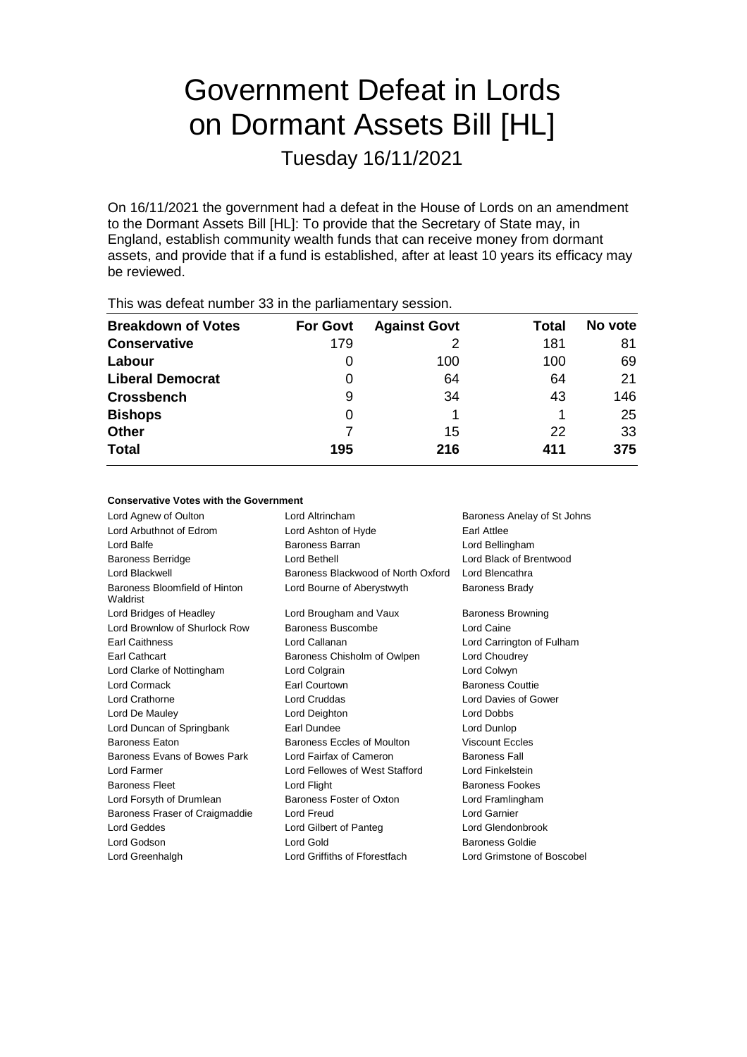# Government Defeat in Lords on Dormant Assets Bill [HL]

Tuesday 16/11/2021

On 16/11/2021 the government had a defeat in the House of Lords on an amendment to the Dormant Assets Bill [HL]: To provide that the Secretary of State may, in England, establish community wealth funds that can receive money from dormant assets, and provide that if a fund is established, after at least 10 years its efficacy may be reviewed.

| This was acreat humbor oc in the parliamentary occolor. |                 |                     |       |         |  |
|---------------------------------------------------------|-----------------|---------------------|-------|---------|--|
| <b>Breakdown of Votes</b>                               | <b>For Govt</b> | <b>Against Govt</b> | Total | No vote |  |
| <b>Conservative</b>                                     | 179             |                     | 181   | 81      |  |
| Labour                                                  | O               | 100                 | 100   | 69      |  |
| <b>Liberal Democrat</b>                                 | 0               | 64                  | 64    | 21      |  |
| <b>Crossbench</b>                                       | 9               | 34                  | 43    | 146     |  |
| <b>Bishops</b>                                          | 0               |                     |       | 25      |  |
| <b>Other</b>                                            |                 | 15                  | 22    | 33      |  |
| <b>Total</b>                                            | 195             | 216                 | 411   | 375     |  |
|                                                         |                 |                     |       |         |  |

This was defeat number 33 in the parliamentary session.

### **Conservative Votes with the Government**

| Lord Agnew of Oulton                      | Lord Altrincham<br>Baroness Anelay of St Johns |                            |  |
|-------------------------------------------|------------------------------------------------|----------------------------|--|
| Lord Arbuthnot of Edrom                   | Lord Ashton of Hyde<br>Earl Attlee             |                            |  |
| Lord Balfe                                | Baroness Barran<br>Lord Bellingham             |                            |  |
| <b>Baroness Berridge</b>                  | Lord Black of Brentwood<br>Lord Bethell        |                            |  |
| Lord Blackwell                            | Baroness Blackwood of North Oxford             | Lord Blencathra            |  |
| Baroness Bloomfield of Hinton<br>Waldrist | Lord Bourne of Aberystwyth                     | <b>Baroness Brady</b>      |  |
| Lord Bridges of Headley                   | Lord Brougham and Vaux                         | <b>Baroness Browning</b>   |  |
| Lord Brownlow of Shurlock Row             | Baroness Buscombe                              | Lord Caine                 |  |
| <b>Earl Caithness</b>                     | Lord Callanan                                  | Lord Carrington of Fulham  |  |
| <b>Earl Cathcart</b>                      | Baroness Chisholm of Owlpen                    | Lord Choudrey              |  |
| Lord Clarke of Nottingham                 | Lord Colgrain                                  | Lord Colwyn                |  |
| <b>Lord Cormack</b>                       | Earl Courtown                                  | <b>Baroness Couttie</b>    |  |
| <b>Lord Crathorne</b>                     | Lord Cruddas                                   | Lord Davies of Gower       |  |
| Lord De Mauley                            | Lord Deighton                                  | Lord Dobbs                 |  |
| Lord Duncan of Springbank                 | Earl Dundee                                    | Lord Dunlop                |  |
| <b>Baroness Eaton</b>                     | Baroness Eccles of Moulton                     | <b>Viscount Eccles</b>     |  |
| Baroness Evans of Bowes Park              | Lord Fairfax of Cameron                        | <b>Baroness Fall</b>       |  |
| Lord Farmer                               | Lord Fellowes of West Stafford                 | Lord Finkelstein           |  |
| <b>Baroness Fleet</b>                     | Lord Flight                                    | <b>Baroness Fookes</b>     |  |
| Lord Forsyth of Drumlean                  | Baroness Foster of Oxton                       | Lord Framlingham           |  |
| Baroness Fraser of Craigmaddie            | Lord Freud                                     | Lord Garnier               |  |
| Lord Geddes                               | Lord Gilbert of Panteg                         | Lord Glendonbrook          |  |
| Lord Godson                               | Lord Gold<br><b>Baroness Goldie</b>            |                            |  |
| Lord Greenhalgh                           | Lord Griffiths of Fforestfach                  | Lord Grimstone of Boscobel |  |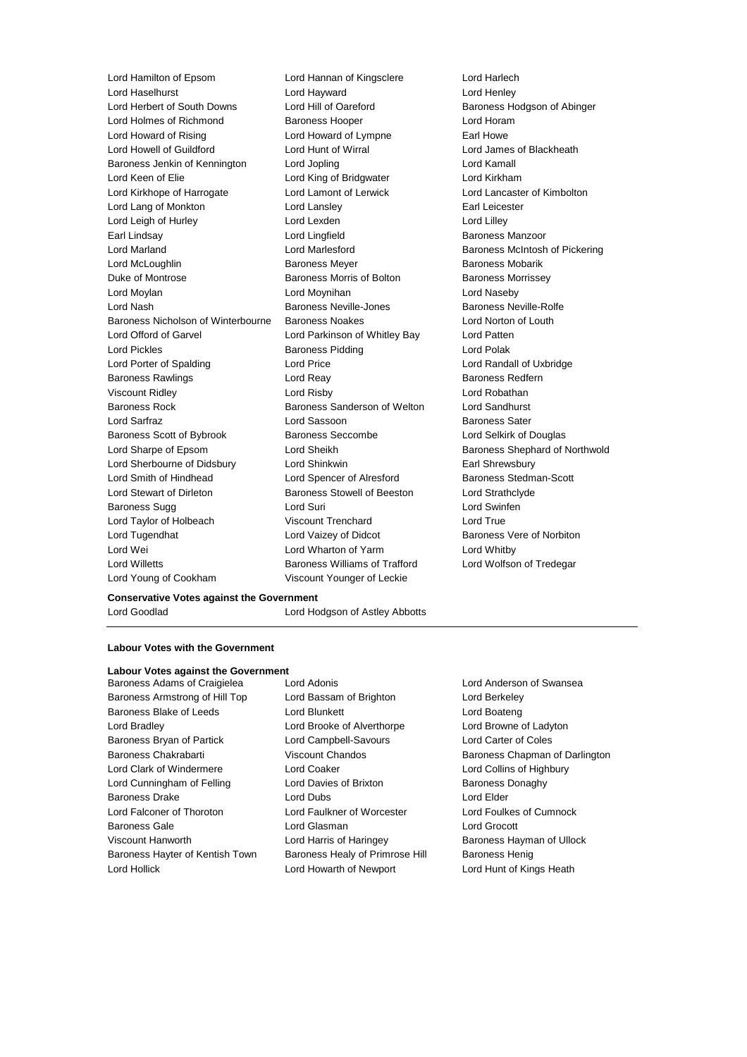Lord Hamilton of Epsom Lord Hannan of Kingsclere Lord Harlech Lord Haselhurst Lord Hayward Lord Henley Lord Holmes of Richmond Baroness Hooper Lord Horam Lord Howard of Rising **Lord Howard of Lympne** Earl Howe Lord Howell of Guildford Lord Hunt of Wirral Lord James of Blackheath Baroness Jenkin of Kennington Lord Jopling Lord Kamall Lord Keen of Elie **Lord King of Bridgwater** Lord Kirkham Lord Kirkhope of Harrogate Lord Lamont of Lerwick Lord Lancaster of Kimbolton Lord Lang of Monkton **Lord Lansley** Lord Lansley **Earl Leicester** Lord Leigh of Hurley **Lord Lexden** Lord Lexden **Lord Leader** Lord Lilley Earl Lindsay **Lord Lingfield** Baroness Manzoor Lord Marland Lord Marlesford Baroness McIntosh of Pickering Lord McLoughlin **Baroness Meyer** Baroness Meyer **Baroness Mobarik** Duke of Montrose Baroness Morris of Bolton Baroness Morrissey Lord Moylan Lord Moynihan Lord Naseby Lord Nash Baroness Neville-Jones Baroness Neville-Rolfe Baroness Nicholson of Winterbourne Baroness Noakes Lord Norton of Louth Lord Offord of Garvel Lord Parkinson of Whitley Bay Lord Patten Lord Pickles **Baroness Pidding** Lord Polak Lord Porter of Spalding Lord Price Lord Randall of Uxbridge Baroness Rawlings **Baroness Redfern** Lord Reay **Baroness Redfern** Viscount Ridley Lord Risby Lord Robathan Baroness Rock **Baroness Sanderson of Welton** Lord Sandhurst Lord Sarfraz **Lord Sassoon** Baroness Sater Baroness Scott of Bybrook Baroness Seccombe Lord Selkirk of Douglas Lord Sharpe of Epsom Lord Sheikh Baroness Shephard of Northwold Lord Sherbourne of Didsbury Lord Shinkwin **Earl Shrewsbury** Earl Shrewsbury Lord Smith of Hindhead Lord Spencer of Alresford Baroness Stedman-Scott Lord Stewart of Dirleton Baroness Stowell of Beeston Lord Strathclyde Baroness Sugg **Lord Suri Lord Suri Lord Suri Lord Swinfen** Lord Taylor of Holbeach Viscount Trenchard Lord True Lord Tugendhat **Lord Vaizey of Didcot** Baroness Vere of Norbiton Lord Wei Lord Wharton of Yarm Lord Whitby Lord Willetts **Baroness Williams of Trafford** Lord Wolfson of Tredegar Lord Young of Cookham Viscount Younger of Leckie

Lord Hill of Oareford Baroness Hodgson of Abinger

### **Conservative Votes against the Government**

Lord Goodlad Lord Hodgson of Astley Abbotts

### **Labour Votes with the Government**

- **Labour Votes against the Government** Baroness Adams of Craigielea Lord Adonis Lord Anderson of Swansea Baroness Armstrong of Hill Top Lord Bassam of Brighton Lord Berkeley Baroness Blake of Leeds Lord Blunkett Lord Boateng Lord Boateng Lord Bradley Lord Brooke of Alverthorpe Lord Browne of Ladyton Baroness Bryan of Partick Lord Campbell-Savours Lord Carter of Coles Baroness Chakrabarti **Viscount Chandos** Baroness Chapman of Darlington Lord Clark of Windermere Lord Coaker Lord Collins of Highbury Lord Cunningham of Felling **Lord Davies of Brixton** Baroness Donaghy Baroness Drake Lord Dubs Lord Elder Lord Falconer of Thoroton Lord Faulkner of Worcester Lord Foulkes of Cumnock Baroness Gale Lord Glasman Lord Grocott Viscount Hanworth **Lord Harris of Haringey** Baroness Hayman of Ullock Baroness Hayter of Kentish Town Baroness Healy of Primrose Hill Baroness Henig Lord Hollick Lord Howarth of Newport Lord Hunt of Kings Heath
	-
-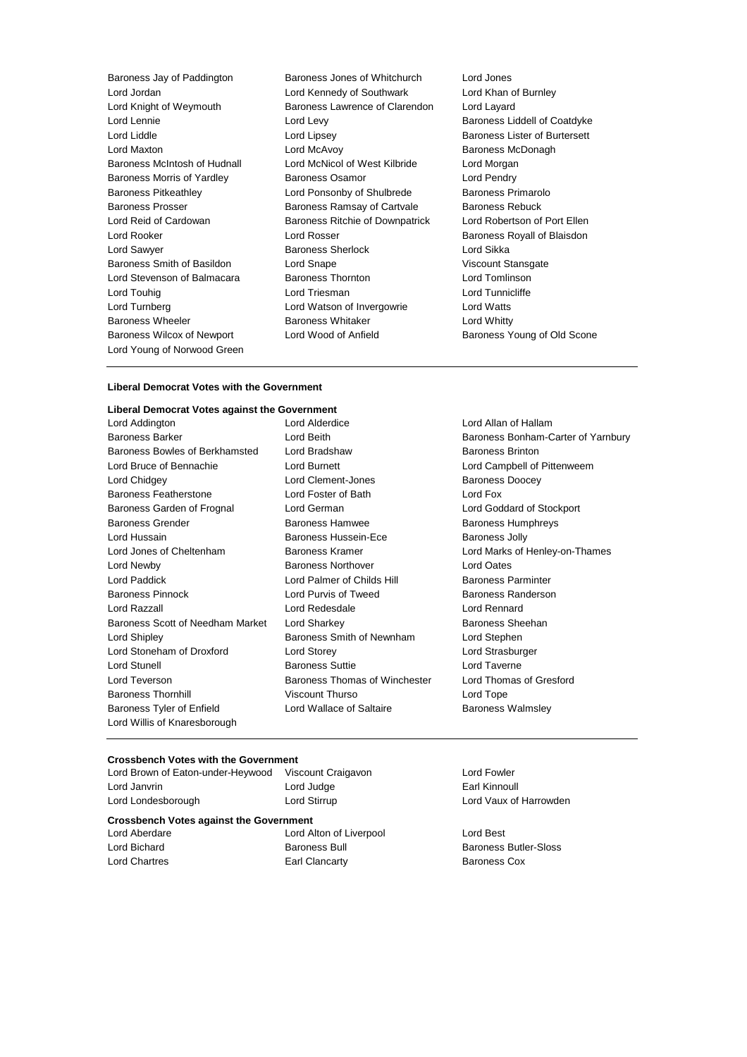Lord Jordan Lord Kennedy of Southwark Lord Khan of Burnley Lord Knight of Weymouth Baroness Lawrence of Clarendon Lord Layard Lord Lennie **Lord Levy** Lord Levy **Baroness Liddell of Coatdyke** Lord Liddle Lord Lipsey Baroness Lister of Burtersett Lord Maxton **Lord McAvoy Consumers** Baroness McDonagh Baroness McIntosh of Hudnall Lord McNicol of West Kilbride Lord Morgan Baroness Morris of Yardley **Baroness Osamor** Charoness Osamor Baroness Pitkeathley **Lord Ponsonby of Shulbrede** Baroness Primarolo<br>Baroness Prosser Baroness Ramsay of Cartvale Baroness Rebuck Lord Reid of Cardowan Baroness Ritchie of Downpatrick Lord Robertson of Port Ellen Lord Rooker Lord Rosser Baroness Royall of Blaisdon Lord Sawyer **Baroness Sherlock** Lord Sikka Baroness Smith of Basildon **Lord Snape Communist Communist Standard Stansgate** Viscount Stansgate Lord Stevenson of Balmacara Baroness Thornton Lord Tomlinson Lord Touhig **Lord Triesman** Lord Triesman **Lord Tunnicliffe** Lord Turnberg Lord Watson of Invergowrie Lord Watts Baroness Wheeler **Baroness Whitaker** Lord Whitty Baroness Wilcox of Newport Lord Wood of Anfield Baroness Young of Old Scone Lord Young of Norwood Green

Baroness Jay of Paddington Baroness Jones of Whitchurch Lord Jones Baroness Ramsay of Cartvale Baroness Rebuck

### **Liberal Democrat Votes with the Government**

## **Liberal Democrat Votes against the Government**

Baroness Barker **Lord Beith** Baroness Bonham-Carter of Yarnbury Baroness Bowles of Berkhamsted Lord Bradshaw **Baroness Brinton** Lord Bruce of Bennachie Lord Burnett Lord Campbell of Pittenweem Lord Chidgey Lord Clement-Jones Baroness Doocey Baroness Featherstone Lord Foster of Bath Lord Fox Baroness Garden of Frognal Lord German Lord Goddard of Stockport Baroness Grender **Baroness Hamwee** Baroness Humphreys Lord Hussain **Baroness Hussein-Ece** Baroness Jolly Lord Jones of Cheltenham Baroness Kramer Lord Marks of Henley-on-Thames Lord Newby Baroness Northover Lord Oates Lord Paddick **Lord Palmer of Childs Hill Baroness Parminter** Baroness Pinnock **Lord Purvis of Tweed** Baroness Randerson Lord Razzall Lord Redesdale Lord Rennard Baroness Scott of Needham Market Lord Sharkey **Baroness Sheehan** Lord Shipley Baroness Smith of Newnham Lord Stephen Lord Stoneham of Droxford Lord Storey Lord Strasburger Lord Stunell **Baroness Suttie Lord Taverne** Lord Teverson Baroness Thomas of Winchester Lord Thomas of Gresford Baroness Thornhill **Same Control Control Viscount Thurso** Correspondent Lord Tope Baroness Tyler of Enfield **Lord Wallace of Saltaire** Baroness Walmsley Lord Willis of Knaresborough

Lord Allan of Hallam

#### **Crossbench Votes with the Government**

**Crossbench Votes against the Government** Lord Janvrin **Earl Kinnoull** Lord Judge **Earl Kinnoull** Lord Londesborough Lord Stirrup Lord Vaux of Harrowden Lord Aberdare Lord Alton of Liverpool Lord Best Lord Bichard Baroness Bull Baroness Butler-Sloss Lord Chartres **Earl Clancarty** Earl Clancarty **Baroness Cox** 

Lord Brown of Eaton-under-Heywood Viscount Craigavon Lord Fowler